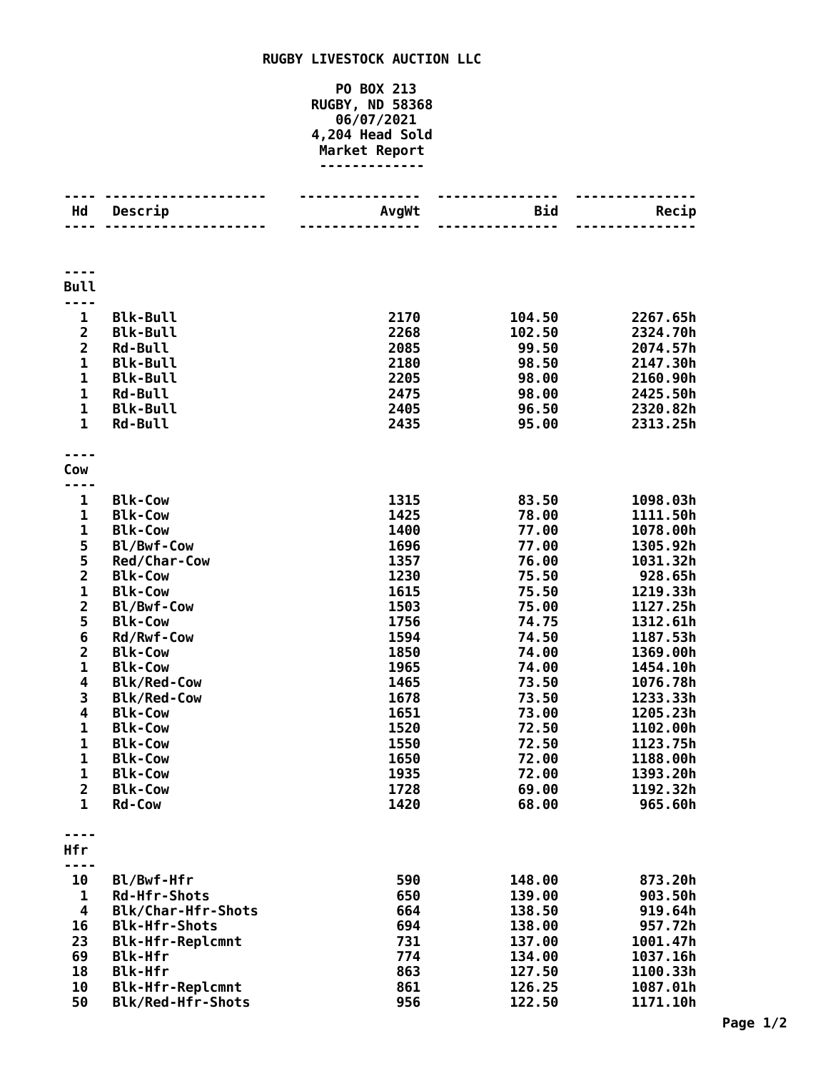## **RUGBY LIVESTOCK AUCTION LLC**

## **PO BOX 213 RUGBY, ND 58368 06/07/2021 4,204 Head Sold Market Report -------------**

| Hd                                      | Descrip                                  | AvgWt        | Bid<br>$\frac{1}{2}$ | Recip                |
|-----------------------------------------|------------------------------------------|--------------|----------------------|----------------------|
|                                         |                                          |              |                      |                      |
| <b>Bull</b>                             |                                          |              |                      |                      |
|                                         |                                          |              |                      |                      |
| $\mathbf{1}$<br>$\overline{\mathbf{2}}$ | <b>Blk-Bull</b><br><b>Blk-Bull</b>       | 2170<br>2268 | 104.50               | 2267.65h<br>2324.70h |
| $\overline{2}$                          | <b>Rd-Bull</b>                           | 2085         | 102.50<br>99.50      | 2074.57h             |
| $\mathbf{1}$                            | <b>Blk-Bull</b>                          | 2180         | 98.50                | 2147.30h             |
| $\mathbf{1}$                            | <b>Blk-Bull</b>                          | 2205         | 98.00                | 2160.90h             |
| $\mathbf{1}$                            | <b>Rd-Bull</b>                           | 2475         | 98.00                | 2425.50h             |
| $\mathbf 1$                             | <b>Blk-Bull</b>                          | 2405         | 96.50                | 2320.82h             |
| $\mathbf{1}$                            | <b>Rd-Bull</b>                           | 2435         | 95.00                | 2313.25h             |
| Cow                                     |                                          |              |                      |                      |
|                                         |                                          |              |                      |                      |
| 1                                       | <b>Blk-Cow</b>                           | 1315         | 83.50                | 1098.03h             |
| $\mathbf{1}$                            | <b>Blk-Cow</b>                           | 1425         | 78.00                | 1111.50h             |
| 1                                       | <b>Blk-Cow</b>                           | 1400         | 77.00                | 1078.00h             |
|                                         | Bl/Bwf-Cow                               | 1696         | 77.00                | 1305.92h             |
| $\frac{5}{2}$                           | Red/Char-Cow                             | 1357         | 76.00                | 1031.32h             |
|                                         | <b>Blk-Cow</b>                           | 1230         | 75.50                | 928.65h              |
| $\frac{1}{2}$                           | <b>Blk-Cow</b>                           | 1615         | 75.50                | 1219.33h             |
|                                         | Bl/Bwf-Cow                               | 1503         | 75.00                | 1127.25h             |
| 5                                       | <b>Blk-Cow</b>                           | 1756         | 74.75                | 1312.61h             |
| 6                                       | Rd/Rwf-Cow                               | 1594         | 74.50                | 1187.53h             |
| $\frac{2}{1}$                           | <b>Blk-Cow</b>                           | 1850         | 74.00                | 1369.00h             |
| 4                                       | <b>Blk-Cow</b>                           | 1965<br>1465 | 74.00<br>73.50       | 1454.10h<br>1076.78h |
| 3                                       | <b>Blk/Red-Cow</b><br><b>Blk/Red-Cow</b> | 1678         | 73.50                | 1233.33h             |
| 4                                       | <b>Blk-Cow</b>                           | 1651         | 73.00                | 1205.23h             |
| $\mathbf 1$                             | <b>Blk-Cow</b>                           | 1520         | 72.50                | 1102.00h             |
| $\mathbf{1}$                            | <b>Blk-Cow</b>                           | 1550         | 72.50                | 1123.75h             |
| $\mathbf 1$                             | <b>Blk-Cow</b>                           | 1650         | 72.00                | 1188.00h             |
| 1                                       | <b>Blk-Cow</b>                           | 1935         | 72.00                | 1393.20h             |
| $\overline{2}$                          | <b>Blk-Cow</b>                           | 1728         | 69.00                | 1192.32h             |
| 1                                       | Rd-Cow                                   | 1420         | 68.00                | 965.60h              |
| Hfr                                     |                                          |              |                      |                      |
|                                         |                                          |              |                      |                      |
| 10                                      | Bl/Bwf-Hfr                               | 590          | 148.00               | 873.20h              |
| 1                                       | <b>Rd-Hfr-Shots</b>                      | 650          | 139.00               | 903.50h              |
| 4                                       | Blk/Char-Hfr-Shots                       | 664          | 138.50               | 919.64h              |
| 16                                      | <b>Blk-Hfr-Shots</b>                     | 694          | 138.00               | 957.72h              |
| 23                                      | <b>Blk-Hfr-Replcmnt</b>                  | 731          | 137.00               | 1001.47h             |
| 69                                      | <b>Blk-Hfr</b>                           | 774          | 134.00               | 1037.16h             |
| 18                                      | <b>Blk-Hfr</b>                           | 863          | 127.50               | 1100.33h             |
| 10                                      | <b>Blk-Hfr-Replcmnt</b>                  | 861          | 126.25               | 1087.01h             |
| 50                                      | Blk/Red-Hfr-Shots                        | 956          | 122.50               | 1171.10h             |